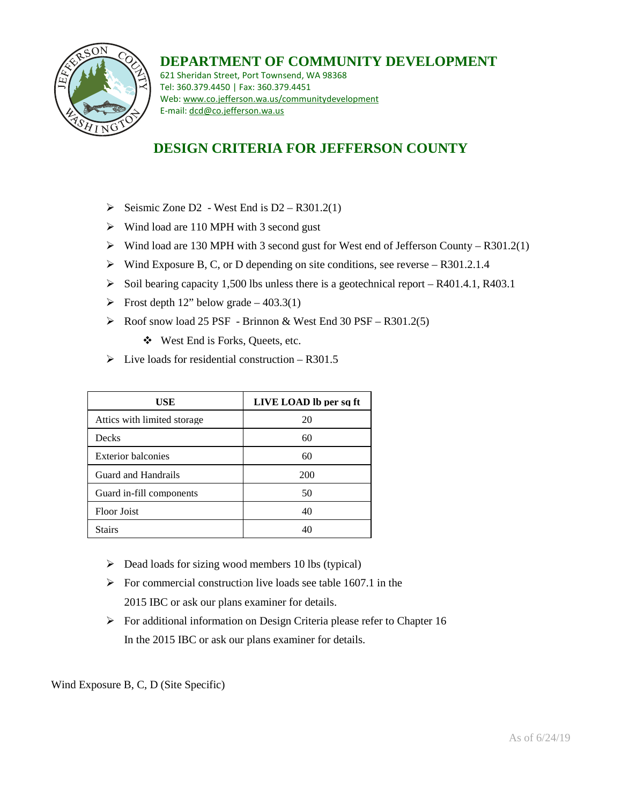

## **DEPARTMENT OF COMMUNITY DEVELOPMENT**

621 Sheridan Street, Port Townsend, WA 98368 Tel: 360.379.4450 | Fax: 360.379.4451 Web: www.co.jefferson.wa.us/communitydevelopment E-mail: dcd@co.jefferson.wa.us

## **DESIGN CRITERIA FOR JEFFERSON COUNTY**

- $\triangleright$  Seismic Zone D2 West End is D2 R301.2(1)
- $\triangleright$  Wind load are 110 MPH with 3 second gust
- $\triangleright$  Wind load are 130 MPH with 3 second gust for West end of Jefferson County R301.2(1)
- $\triangleright$  Wind Exposure B, C, or D depending on site conditions, see reverse R301.2.1.4
- $\triangleright$  Soil bearing capacity 1,500 lbs unless there is a geotechnical report R401.4.1, R403.1
- $\triangleright$  Frost depth 12" below grade 403.3(1)
- $\triangleright$  Roof snow load 25 PSF Brinnon & West End 30 PSF R301.2(5)
	- West End is Forks, Queets, etc.
- $\triangleright$  Live loads for residential construction R301.5

| USE                          | LIVE LOAD lb per sq ft |
|------------------------------|------------------------|
| Attics with limited storage. | 20                     |
| Decks                        | 60                     |
| <b>Exterior balconies</b>    | 60                     |
| Guard and Handrails          | 200                    |
| Guard in-fill components     | 50                     |
| Floor Joist                  | 40                     |
| <b>Stairs</b>                | 40                     |

- $\triangleright$  Dead loads for sizing wood members 10 lbs (typical)
- $\triangleright$  For commercial construction live loads see table 1607.1 in the 2015 IBC or ask our plans examiner for details.
- $\triangleright$  For additional information on Design Criteria please refer to Chapter 16 In the 2015 IBC or ask our plans examiner for details.

Wind Exposure B, C, D (Site Specific)